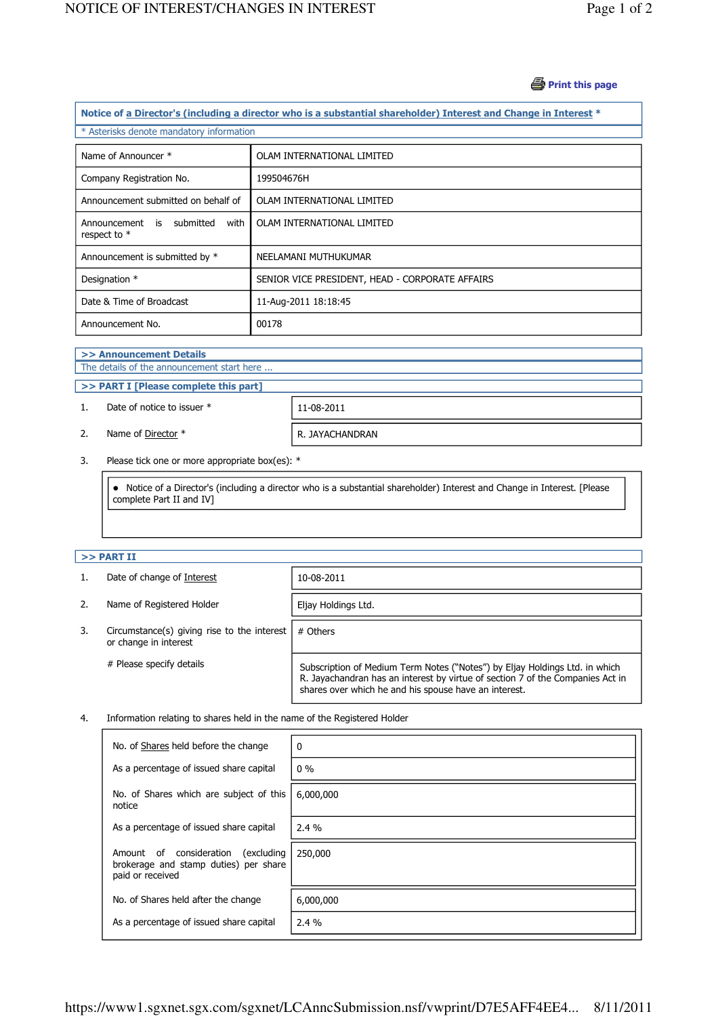# **B** Print this page

| Notice of a Director's (including a director who is a substantial shareholder) Interest and Change in Interest * |                                                 |  |  |  |
|------------------------------------------------------------------------------------------------------------------|-------------------------------------------------|--|--|--|
| * Asterisks denote mandatory information                                                                         |                                                 |  |  |  |
| Name of Announcer *                                                                                              | OLAM INTERNATIONAL LIMITED                      |  |  |  |
| Company Registration No.                                                                                         | 199504676H                                      |  |  |  |
| Announcement submitted on behalf of                                                                              | OLAM INTERNATIONAL LIMITED                      |  |  |  |
| Announcement is submitted<br>with<br>respect to *                                                                | OLAM INTERNATIONAL LIMITED                      |  |  |  |
| Announcement is submitted by *                                                                                   | NEELAMANI MUTHUKUMAR                            |  |  |  |
| Designation *                                                                                                    | SENIOR VICE PRESIDENT, HEAD - CORPORATE AFFAIRS |  |  |  |
| Date & Time of Broadcast                                                                                         | 11-Aug-2011 18:18:45                            |  |  |  |
| Announcement No.                                                                                                 | 00178                                           |  |  |  |

### >> Announcement Details

j

J

The details of the announcement start here ...

>> PART I [Please complete this part]

1. Date of notice to issuer \* 11-08-2011

2. Name of Director  $*$  R. JAYACHANDRAN

3. Please tick one or more appropriate box(es): \*

 Notice of a Director's (including a director who is a substantial shareholder) Interest and Change in Interest. [Please complete Part II and IV]

# $>>$  PART II

j

|                                                                            | Date of change of Interest | 10-08-2011                                                                                                                                                                                                             |  |
|----------------------------------------------------------------------------|----------------------------|------------------------------------------------------------------------------------------------------------------------------------------------------------------------------------------------------------------------|--|
| 2.                                                                         | Name of Registered Holder  | Eljay Holdings Ltd.                                                                                                                                                                                                    |  |
| Circumstance(s) giving rise to the interest<br>3.<br>or change in interest |                            | # Others                                                                                                                                                                                                               |  |
|                                                                            | # Please specify details   | Subscription of Medium Term Notes ("Notes") by Eljay Holdings Ltd. in which<br>R. Jayachandran has an interest by virtue of section 7 of the Companies Act in<br>shares over which he and his spouse have an interest. |  |

# 4. Information relating to shares held in the name of the Registered Holder

| No. of Shares held before the change                                                               | $\mathbf{0}$ |
|----------------------------------------------------------------------------------------------------|--------------|
| As a percentage of issued share capital                                                            | $0\%$        |
| No. of Shares which are subject of this<br>notice                                                  | 6,000,000    |
| As a percentage of issued share capital                                                            | $2.4\%$      |
| Amount of consideration<br>(excluding<br>brokerage and stamp duties) per share<br>paid or received | 250,000      |
| No. of Shares held after the change                                                                | 6,000,000    |
| As a percentage of issued share capital                                                            | 2.4%         |